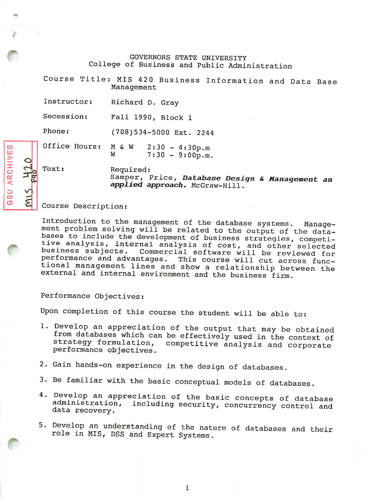GOVERNORS STATE UNIVERSITY College of Business and Public Administration

Course Title: MIS 420 Business Information and Data Base Management

Instructor: Richard D. Gray-

Secession: Fall 1990, Block 1

Phone: (708)534-5000 Ext. 2244

Office Hours:  $M \& W$  2:30 - 4:30p.m<br>W 7:30 - 9:00p.m  $7:30 - 9:00p.m.$ 

Text:

Required: Samper, Price, *Database Design & Management an applied approach.* McGraw-Hill.

## Course Description:

Introduction to the management of the database systems. Manage ment problem solving will be related to the output of the data bases to include the development of business strategies, competitive analysis, internal analysis of cost, and other selected business subjects. Commercial software will be reviewed for performance and advantages. This course will cut across func tional management lines and show a relationship between the external and internal environment and the business firm.

Performance Objectives:

Upon completion of this course the student will be able to:

- 1. Develop an appreciation of the output that may be obtained from databases which can be effectively used in the context of strategy formulation, competitive analysis and corporate competitive analysis and corporate performance objectives.
- Gain hands-on experience in the design of databases.
- 3. Be familiar with the basic conceptual models of databases.
- Develop an appreciation of the basic concepts of database administration, including security, concurrency control and data recovery.
- Develop an understanding of the nature of databases and their role in MIS, DSS and Expert Systems.

*CO HI <sup>&</sup>gt; cJ X* **ARC** *ID V CO —«*